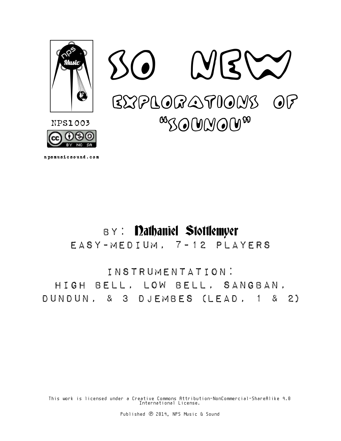

## So New Explorations of "Sounou"

npsmusicsound.com

## BY: Dathaniel Stottlemyer

Easy-Medium, 7-12 Players

## Instrumentation: High Bell, Low Bell, Sangban, Dundun, & 3 Djembes (Lead, 1 & 2)

This work is licensed under a Creative Commons Attribution-NonCommercial-ShareAlike 4.0 International License.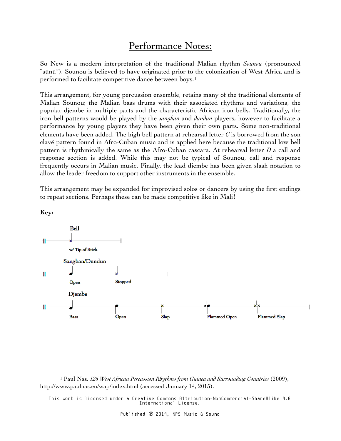## <span id="page-1-1"></span>Performance Notes:

So New is a modern interpretation of the traditional Malian rhythm *Sounou* (pronounced "sūnū"). Sounou is believed to have originated prior to the colonization of West Africa and is performed to facilitate competitive dance between boys[.1](#page-1-0)

This arrangement, for young percussion ensemble, retains many of the traditional elements of Malian Sounou; the Malian bass drums with their associated rhythms and variations, the popular djembe in multiple parts and the characteristic African iron bells. Traditionally, the iron bell patterns would be played by the *sangban* and *dundun* players, however to facilitate a performance by young players they have been given their own parts. Some non-traditional elements have been added. The high bell pattern at rehearsal letter *C* is borrowed from the son clavé pattern found in Afro-Cuban music and is applied here because the traditional low bell pattern is rhythmically the same as the Afro-Cuban cascara. At rehearsal letter *D* a call and response section is added. While this may not be typical of Sounou, call and response frequently occurs in Malian music. Finally, the lead djembe has been given slash notation to allow the leader freedom to support other instruments in the ensemble.

This arrangement may be expanded for improvised solos or dancers by using the first endings to repeat sections. Perhaps these can be made competitive like in Mali!

**Key:**



<span id="page-1-0"></span>Paul Nas, *126 West African Percussion Rhythms from Guinea and Surrounding Countries* (2009), [1](#page-1-1) http://www.paulnas.eu/wap/index.html (accessed January 14, 2015).

This work is licensed under a Creative Commons Attribution-NonCommercial-ShareAlike 4.0 International License.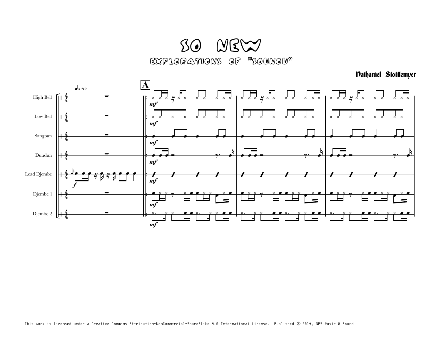**MB**  $\delta\mathcal{S}$  $\sum_{i=1}^{n}$ EXPLORATIONS OF "SOUNOU"

Dathaniel Stottlemyer

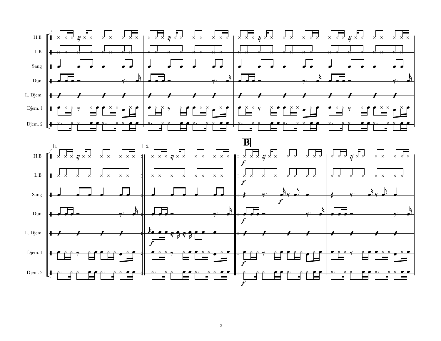

 $\overline{2}$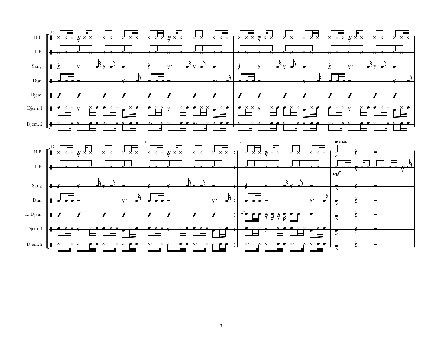

 $\sqrt{3}$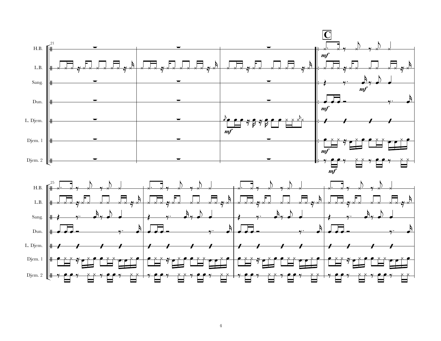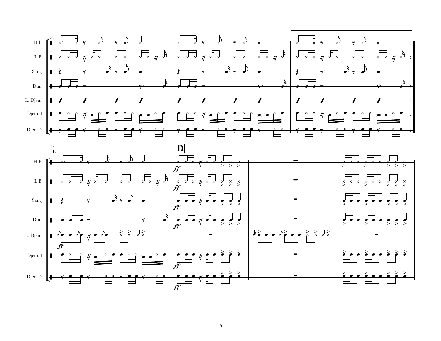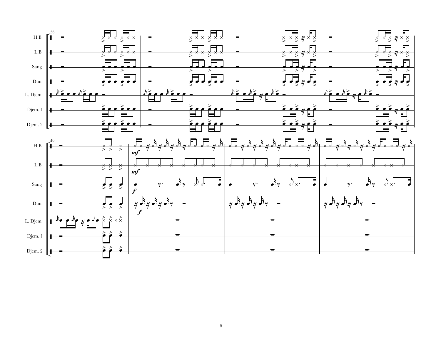

 $\sqrt{6}$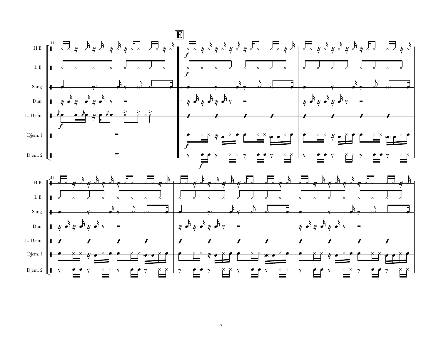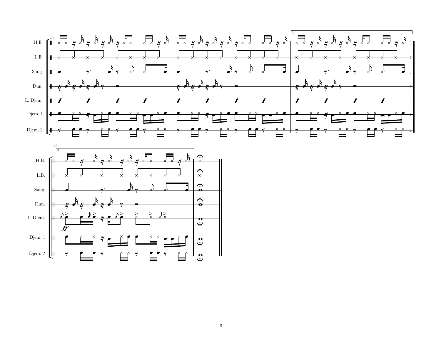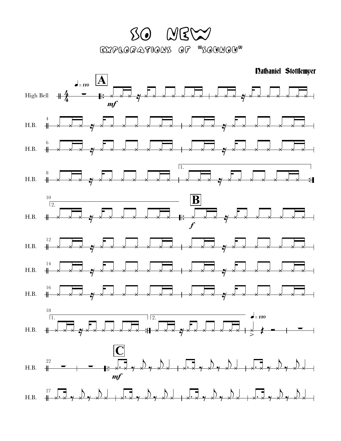BO NEW BEORATIONS OF "SOUNOU"

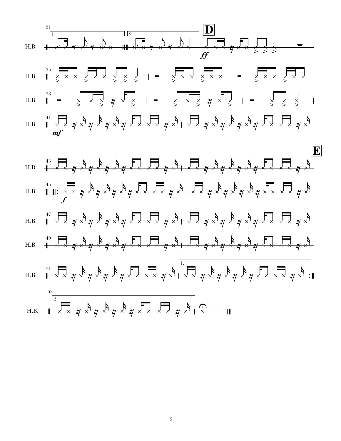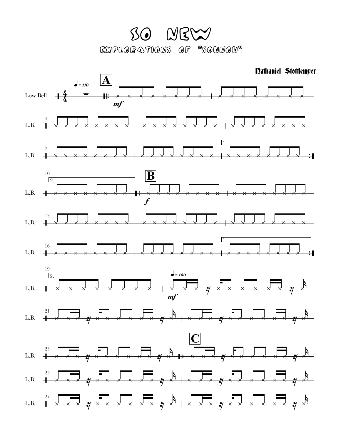$SO$   $N_{K}$ 

REPLORATIONS OF "SOUNOU"

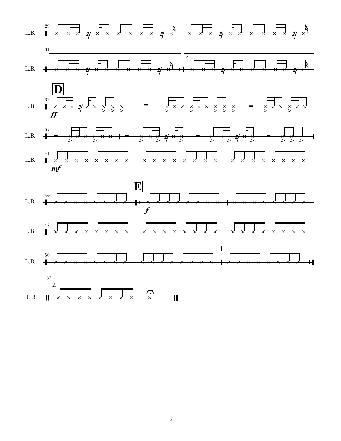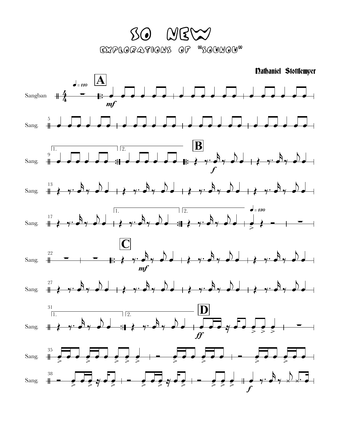

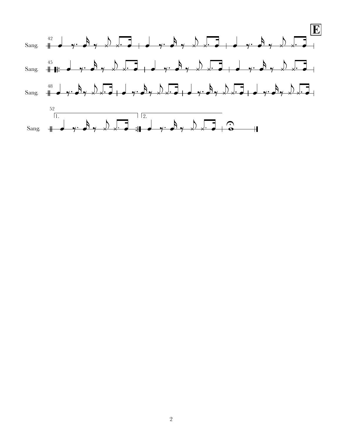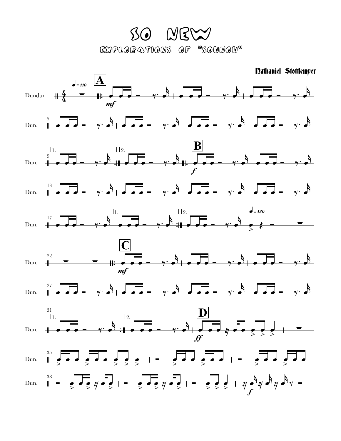$SO$  NEW BEORATIONS OF "SOUNOU"

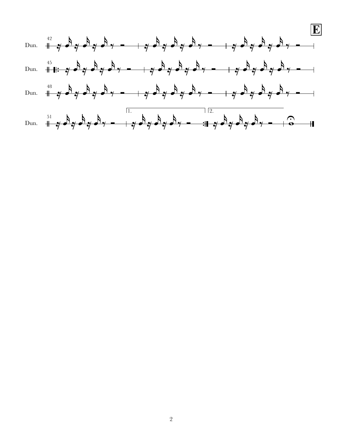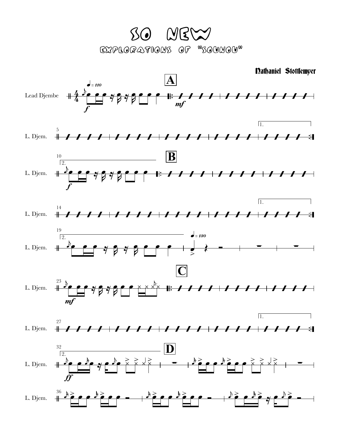

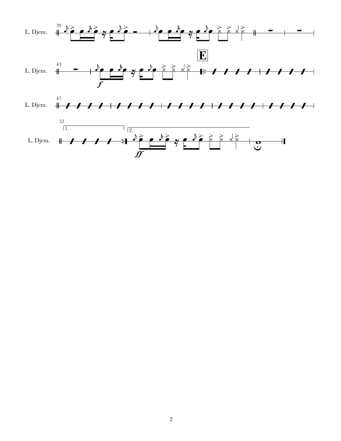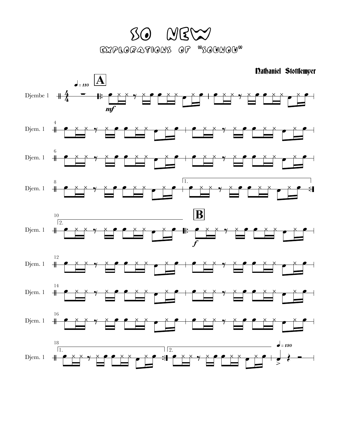

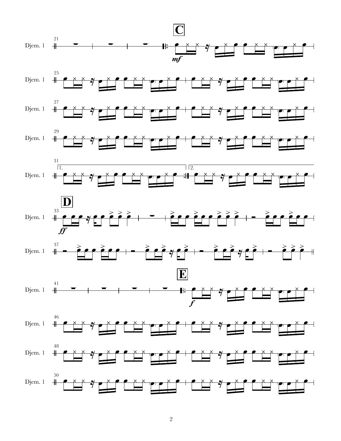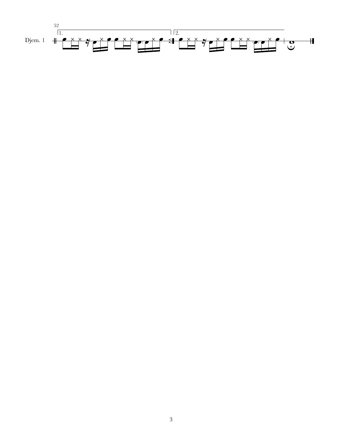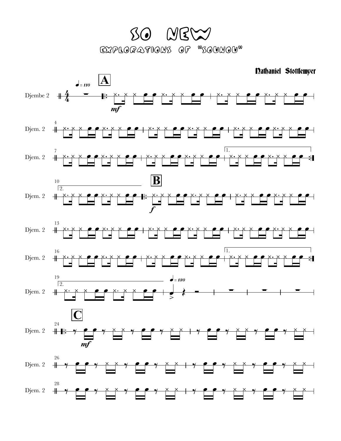